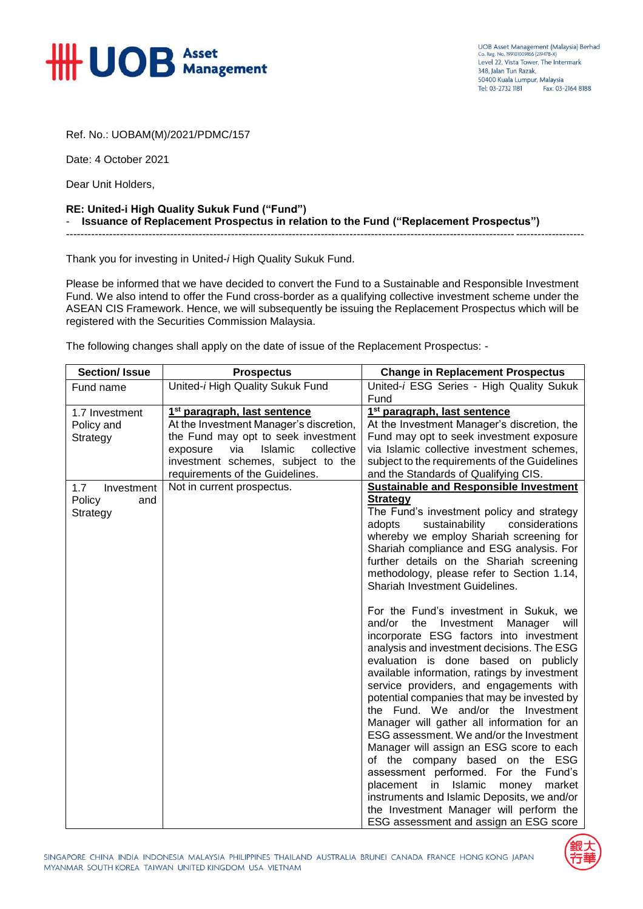

UOB Asset Management (Malaysia) Berhad<br>Co. Reg. No. 199101009166 (219478-X) Level 22, Vista Tower, The Intermark 348 Jalan Tun Razak 50400 Kuala Lumpur, Malaysia Tel: 03-2732 1181 Fax: 03-2164 8188

Ref. No.: UOBAM(M)/2021/PDMC/157

Date: 4 October 2021

Dear Unit Holders,

## **RE: United-i High Quality Sukuk Fund ("Fund")** - **Issuance of Replacement Prospectus in relation to the Fund ("Replacement Prospectus")**

Thank you for investing in United-*i* High Quality Sukuk Fund.

Please be informed that we have decided to convert the Fund to a Sustainable and Responsible Investment Fund. We also intend to offer the Fund cross-border as a qualifying collective investment scheme under the ASEAN CIS Framework. Hence, we will subsequently be issuing the Replacement Prospectus which will be registered with the Securities Commission Malaysia.

------------------------------------------------------------------------------------------------------------------------------------------------

The following changes shall apply on the date of issue of the Replacement Prospectus: -

| <b>Section/Issue</b>                           | <b>Prospectus</b>                        | <b>Change in Replacement Prospectus</b>                                                                                                                                                                                                                                                                                                                                                                                                                                                                                                                                                                                                                                                                                                                                                                         |
|------------------------------------------------|------------------------------------------|-----------------------------------------------------------------------------------------------------------------------------------------------------------------------------------------------------------------------------------------------------------------------------------------------------------------------------------------------------------------------------------------------------------------------------------------------------------------------------------------------------------------------------------------------------------------------------------------------------------------------------------------------------------------------------------------------------------------------------------------------------------------------------------------------------------------|
| Fund name                                      | United-i High Quality Sukuk Fund         | United-i ESG Series - High Quality Sukuk<br>Fund                                                                                                                                                                                                                                                                                                                                                                                                                                                                                                                                                                                                                                                                                                                                                                |
| 1.7 Investment                                 | 1 <sup>st</sup> paragraph, last sentence | 1 <sup>st</sup> paragraph, last sentence                                                                                                                                                                                                                                                                                                                                                                                                                                                                                                                                                                                                                                                                                                                                                                        |
| Policy and                                     | At the Investment Manager's discretion,  | At the Investment Manager's discretion, the                                                                                                                                                                                                                                                                                                                                                                                                                                                                                                                                                                                                                                                                                                                                                                     |
| Strategy                                       | the Fund may opt to seek investment      | Fund may opt to seek investment exposure                                                                                                                                                                                                                                                                                                                                                                                                                                                                                                                                                                                                                                                                                                                                                                        |
|                                                | Islamic<br>via<br>collective<br>exposure | via Islamic collective investment schemes,                                                                                                                                                                                                                                                                                                                                                                                                                                                                                                                                                                                                                                                                                                                                                                      |
|                                                | investment schemes, subject to the       | subject to the requirements of the Guidelines                                                                                                                                                                                                                                                                                                                                                                                                                                                                                                                                                                                                                                                                                                                                                                   |
|                                                | requirements of the Guidelines.          | and the Standards of Qualifying CIS.                                                                                                                                                                                                                                                                                                                                                                                                                                                                                                                                                                                                                                                                                                                                                                            |
| 1.7<br>Investment<br>Policy<br>and<br>Strategy | Not in current prospectus.               | <b>Sustainable and Responsible Investment</b><br><b>Strategy</b><br>The Fund's investment policy and strategy<br>sustainability<br>considerations<br>adopts<br>whereby we employ Shariah screening for<br>Shariah compliance and ESG analysis. For<br>further details on the Shariah screening<br>methodology, please refer to Section 1.14,<br><b>Shariah Investment Guidelines.</b>                                                                                                                                                                                                                                                                                                                                                                                                                           |
|                                                |                                          | For the Fund's investment in Sukuk, we<br>and/or<br>Investment<br>Manager<br>the<br>will<br>incorporate ESG factors into investment<br>analysis and investment decisions. The ESG<br>evaluation is done based on publicly<br>available information, ratings by investment<br>service providers, and engagements with<br>potential companies that may be invested by<br>the Fund. We and/or the Investment<br>Manager will gather all information for an<br>ESG assessment. We and/or the Investment<br>Manager will assign an ESG score to each<br>of the company based on the ESG<br>assessment performed. For the Fund's<br>Islamic<br>placement<br>in<br>market<br>money<br>instruments and Islamic Deposits, we and/or<br>the Investment Manager will perform the<br>ESG assessment and assign an ESG score |

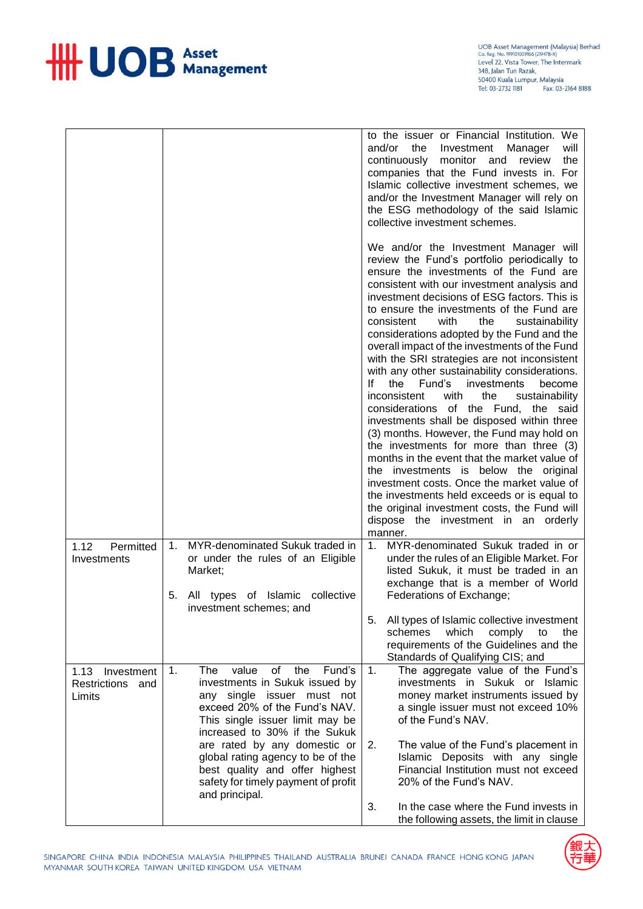

|                                                  |                                                                                                                                                                                                                | to the issuer or Financial Institution. We<br>and/or<br>the<br>Investment<br>Manager<br>will<br>continuously<br>monitor and review<br>the<br>companies that the Fund invests in. For<br>Islamic collective investment schemes, we<br>and/or the Investment Manager will rely on<br>the ESG methodology of the said Islamic<br>collective investment schemes.                                                                                                                                                                                                                                                                                                                                                                                                                                                                                                                                                                                                                                                                                                                                       |
|--------------------------------------------------|----------------------------------------------------------------------------------------------------------------------------------------------------------------------------------------------------------------|----------------------------------------------------------------------------------------------------------------------------------------------------------------------------------------------------------------------------------------------------------------------------------------------------------------------------------------------------------------------------------------------------------------------------------------------------------------------------------------------------------------------------------------------------------------------------------------------------------------------------------------------------------------------------------------------------------------------------------------------------------------------------------------------------------------------------------------------------------------------------------------------------------------------------------------------------------------------------------------------------------------------------------------------------------------------------------------------------|
|                                                  |                                                                                                                                                                                                                | We and/or the Investment Manager will<br>review the Fund's portfolio periodically to<br>ensure the investments of the Fund are<br>consistent with our investment analysis and<br>investment decisions of ESG factors. This is<br>to ensure the investments of the Fund are<br>consistent<br>with<br>the<br>sustainability<br>considerations adopted by the Fund and the<br>overall impact of the investments of the Fund<br>with the SRI strategies are not inconsistent<br>with any other sustainability considerations.<br>lf.<br>the<br>Fund's<br>investments<br>become<br>inconsistent<br>with<br>the<br>sustainability<br>considerations of the Fund, the said<br>investments shall be disposed within three<br>(3) months. However, the Fund may hold on<br>the investments for more than three (3)<br>months in the event that the market value of<br>the investments is below the original<br>investment costs. Once the market value of<br>the investments held exceeds or is equal to<br>the original investment costs, the Fund will<br>dispose the investment in an orderly<br>manner. |
| 1.12<br>Permitted<br>Investments                 | MYR-denominated Sukuk traded in<br>1.<br>or under the rules of an Eligible<br>Market;<br>5.<br>All types of Islamic collective<br>investment schemes; and                                                      | MYR-denominated Sukuk traded in or<br>1.<br>under the rules of an Eligible Market. For<br>listed Sukuk, it must be traded in an<br>exchange that is a member of World<br>Federations of Exchange;<br>All types of Islamic collective investment<br>5.                                                                                                                                                                                                                                                                                                                                                                                                                                                                                                                                                                                                                                                                                                                                                                                                                                              |
|                                                  |                                                                                                                                                                                                                | which<br>schemes<br>comply<br>to<br>the<br>requirements of the Guidelines and the<br>Standards of Qualifying CIS; and                                                                                                                                                                                                                                                                                                                                                                                                                                                                                                                                                                                                                                                                                                                                                                                                                                                                                                                                                                              |
| 1.13 Investment<br>Restrictions<br>and<br>Limits | value<br>the<br>Fund's<br>1.<br>The<br>of<br>investments in Sukuk issued by<br>any single issuer must not<br>exceed 20% of the Fund's NAV.<br>This single issuer limit may be<br>increased to 30% if the Sukuk | The aggregate value of the Fund's<br>1.<br>investments in Sukuk or Islamic<br>money market instruments issued by<br>a single issuer must not exceed 10%<br>of the Fund's NAV.                                                                                                                                                                                                                                                                                                                                                                                                                                                                                                                                                                                                                                                                                                                                                                                                                                                                                                                      |
|                                                  | are rated by any domestic or<br>global rating agency to be of the<br>best quality and offer highest<br>safety for timely payment of profit<br>and principal.                                                   | The value of the Fund's placement in<br>2.<br>Islamic Deposits with any single<br>Financial Institution must not exceed<br>20% of the Fund's NAV.                                                                                                                                                                                                                                                                                                                                                                                                                                                                                                                                                                                                                                                                                                                                                                                                                                                                                                                                                  |
|                                                  |                                                                                                                                                                                                                | In the case where the Fund invests in<br>3.<br>the following assets, the limit in clause                                                                                                                                                                                                                                                                                                                                                                                                                                                                                                                                                                                                                                                                                                                                                                                                                                                                                                                                                                                                           |

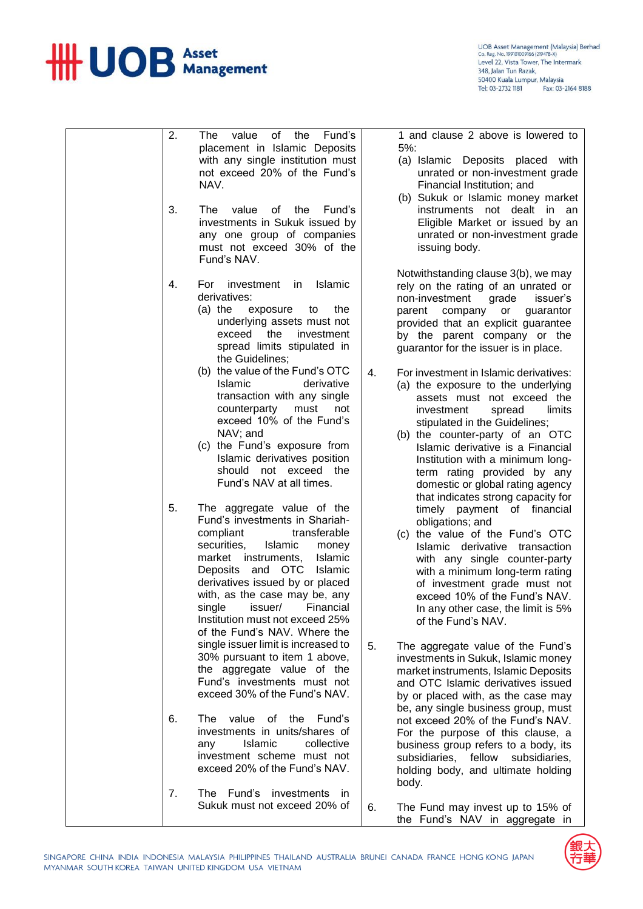

UOB Asset Management (Malaysia) Berhad<br>Co. Reg. No. 199101009166 (219478-X)<br>Level 22, Vista Tower, The Intermark<br>348, Jalan Tun Razak, 50400 Kuala Lumpur, Malaysia Tel: 03-2732 1181 Fax: 03-2164 8188

|  | 2. | of the<br><b>The</b><br>value<br>Fund's<br>placement in Islamic Deposits<br>with any single institution must<br>not exceed 20% of the Fund's<br>NAV.                                                                                                                                                                                                                    |    | 1 and clause 2 above is lowered to<br>$5%$ :<br>(a) Islamic Deposits placed with<br>unrated or non-investment grade<br>Financial Institution; and<br>(b) Sukuk or Islamic money market                                                                                                                                |
|--|----|-------------------------------------------------------------------------------------------------------------------------------------------------------------------------------------------------------------------------------------------------------------------------------------------------------------------------------------------------------------------------|----|-----------------------------------------------------------------------------------------------------------------------------------------------------------------------------------------------------------------------------------------------------------------------------------------------------------------------|
|  | 3. | value<br>of the<br>Fund's<br>The<br>investments in Sukuk issued by<br>any one group of companies<br>must not exceed 30% of the<br>Fund's NAV.                                                                                                                                                                                                                           |    | instruments not dealt in an<br>Eligible Market or issued by an<br>unrated or non-investment grade<br>issuing body.                                                                                                                                                                                                    |
|  | 4. | Islamic<br>For investment in<br>derivatives:<br>(a) the exposure<br>the<br>to<br>underlying assets must not<br>exceed the<br>investment<br>spread limits stipulated in<br>the Guidelines;                                                                                                                                                                               |    | Notwithstanding clause 3(b), we may<br>rely on the rating of an unrated or<br>non-investment<br>grade<br>issuer's<br>parent company or<br>guarantor<br>provided that an explicit guarantee<br>by the parent company or the<br>guarantor for the issuer is in place.                                                   |
|  |    | (b) the value of the Fund's OTC<br>Islamic<br>derivative<br>transaction with any single<br>counterparty<br>must<br>not<br>exceed 10% of the Fund's<br>NAV; and                                                                                                                                                                                                          | 4. | For investment in Islamic derivatives:<br>(a) the exposure to the underlying<br>assets must not exceed the<br>investment<br>limits<br>spread<br>stipulated in the Guidelines;<br>(b) the counter-party of an OTC                                                                                                      |
|  |    | (c) the Fund's exposure from<br>Islamic derivatives position<br>should not exceed the<br>Fund's NAV at all times.                                                                                                                                                                                                                                                       |    | Islamic derivative is a Financial<br>Institution with a minimum long-<br>term rating provided by any<br>domestic or global rating agency<br>that indicates strong capacity for                                                                                                                                        |
|  | 5. | The aggregate value of the<br>Fund's investments in Shariah-<br>transferable<br>compliant<br>securities.<br>Islamic<br>money<br>market instruments,<br><b>Islamic</b><br>Deposits and OTC<br>Islamic<br>derivatives issued by or placed<br>with, as the case may be, any<br>single issuer/ Financial<br>Institution must not exceed 25%<br>of the Fund's NAV. Where the |    | timely payment of financial<br>obligations; and<br>(c) the value of the Fund's OTC<br>Islamic derivative transaction<br>with any single counter-party<br>with a minimum long-term rating<br>of investment grade must not<br>exceed 10% of the Fund's NAV.<br>In any other case, the limit is 5%<br>of the Fund's NAV. |
|  |    | single issuer limit is increased to<br>30% pursuant to item 1 above,<br>the aggregate value of the<br>Fund's investments must not<br>exceed 30% of the Fund's NAV.                                                                                                                                                                                                      | 5. | The aggregate value of the Fund's<br>investments in Sukuk, Islamic money<br>market instruments, Islamic Deposits<br>and OTC Islamic derivatives issued<br>by or placed with, as the case may                                                                                                                          |
|  | 6. | The value of the Fund's<br>investments in units/shares of<br><b>Islamic</b><br>collective<br>any<br>investment scheme must not<br>exceed 20% of the Fund's NAV.                                                                                                                                                                                                         |    | be, any single business group, must<br>not exceed 20% of the Fund's NAV.<br>For the purpose of this clause, a<br>business group refers to a body, its<br>subsidiaries, fellow subsidiaries,<br>holding body, and ultimate holding<br>body.                                                                            |
|  | 7. | The Fund's<br>investments in<br>Sukuk must not exceed 20% of                                                                                                                                                                                                                                                                                                            | 6. | The Fund may invest up to 15% of<br>the Fund's NAV in aggregate in                                                                                                                                                                                                                                                    |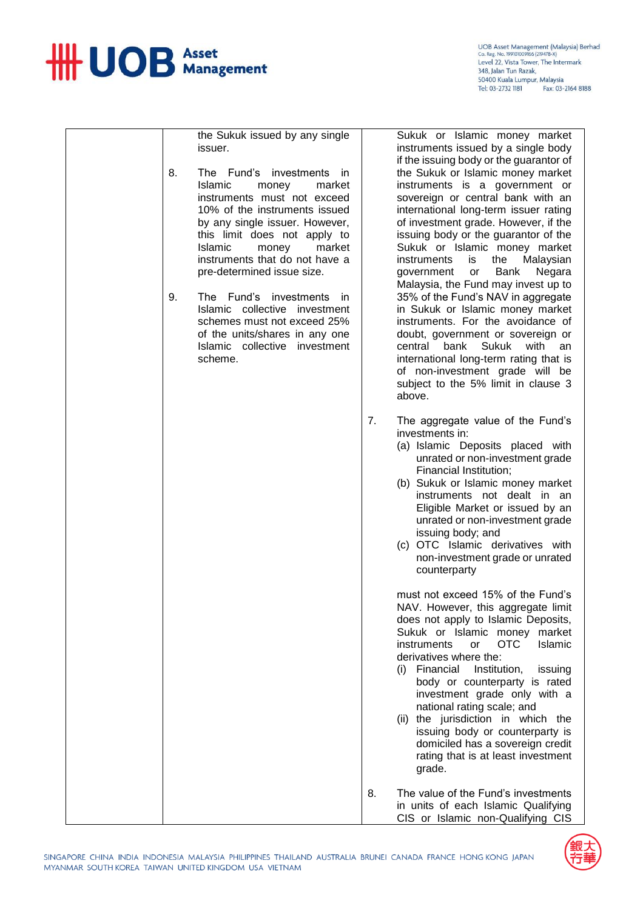

UOB Asset Management (Malaysia) Berhad<br>Co. Reg. No. 199101009166 (219478-X) Level 22, Vista Tower, The Intermark 348, Jalan Tun Razak 50400 Kuala Lumpur, Malaysia Tel: 03-2732 1181 Fax: 03-2164 8188

the Sukuk issued by any single issuer.

- 8. The Fund's investments in<br>Islamic monev market money instruments must not exceed 10% of the instruments issued by any single issuer. However, this limit does not apply to<br>Islamic money market money market instruments that do not have a pre-determined issue size.
- 9. The Fund's investments in Islamic collective investment schemes must not exceed 25% of the units/shares in any one Islamic collective investment scheme.

Sukuk or Islamic money market instruments issued by a single body if the issuing body or the guarantor of the Sukuk or Islamic money market instruments is a government or sovereign or central bank with an international long-term issuer rating of investment grade. However, if the issuing body or the guarantor of the Sukuk or Islamic money market instruments is the Malaysian government or Bank Negara Malaysia, the Fund may invest up to 35% of the Fund's NAV in aggregate in Sukuk or Islamic money market instruments. For the avoidance of doubt, government or sovereign or central bank Sukuk with an international long-term rating that is of non-investment grade will be subject to the 5% limit in clause 3 above.

- 7. The aggregate value of the Fund's investments in:
	- (a) Islamic Deposits placed with unrated or non-investment grade Financial Institution;
	- (b) Sukuk or Islamic money market instruments not dealt in an Eligible Market or issued by an unrated or non-investment grade issuing body; and
	- (c) OTC Islamic derivatives with non-investment grade or unrated counterparty

must not exceed 15% of the Fund's NAV. However, this aggregate limit does not apply to Islamic Deposits, Sukuk or Islamic money market instruments or OTC Islamic derivatives where the:

- (i) Financial Institution, issuing body or counterparty is rated investment grade only with a national rating scale; and
- (ii) the jurisdiction in which the issuing body or counterparty is domiciled has a sovereign credit rating that is at least investment grade.
- 8. The value of the Fund's investments in units of each Islamic Qualifying CIS or Islamic non-Qualifying CIS

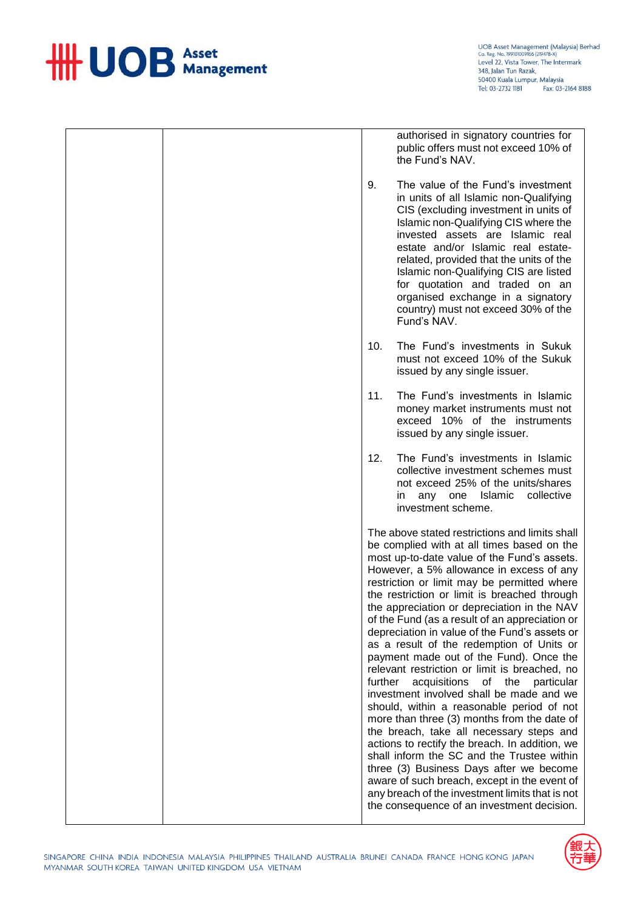

UOB Asset Management (Malaysia) Berhad<br>Co. Reg. No. 199101009166 (219478-X)<br>Level 22, Vista Tower, The Intermark<br>348, Jalan Tun Razak, 50400 Kuala Lumpur, Malaysia Tel: 03-2732 1181 Fax: 03-2164 8188

|  |         | authorised in signatory countries for<br>public offers must not exceed 10% of<br>the Fund's NAV.                                                                                                                                                                                                                                                                                                                                                                                                                                                                                                                                                                                                                                                                                                                                                                                                                                                                                                                                                                                                          |
|--|---------|-----------------------------------------------------------------------------------------------------------------------------------------------------------------------------------------------------------------------------------------------------------------------------------------------------------------------------------------------------------------------------------------------------------------------------------------------------------------------------------------------------------------------------------------------------------------------------------------------------------------------------------------------------------------------------------------------------------------------------------------------------------------------------------------------------------------------------------------------------------------------------------------------------------------------------------------------------------------------------------------------------------------------------------------------------------------------------------------------------------|
|  | 9.      | The value of the Fund's investment<br>in units of all Islamic non-Qualifying<br>CIS (excluding investment in units of<br>Islamic non-Qualifying CIS where the<br>invested assets are Islamic real<br>estate and/or Islamic real estate-<br>related, provided that the units of the<br>Islamic non-Qualifying CIS are listed<br>for quotation and traded on an<br>organised exchange in a signatory<br>country) must not exceed 30% of the<br>Fund's NAV.                                                                                                                                                                                                                                                                                                                                                                                                                                                                                                                                                                                                                                                  |
|  | 10.     | The Fund's investments in Sukuk<br>must not exceed 10% of the Sukuk<br>issued by any single issuer.                                                                                                                                                                                                                                                                                                                                                                                                                                                                                                                                                                                                                                                                                                                                                                                                                                                                                                                                                                                                       |
|  | 11.     | The Fund's investments in Islamic<br>money market instruments must not<br>exceed 10% of the instruments<br>issued by any single issuer.                                                                                                                                                                                                                                                                                                                                                                                                                                                                                                                                                                                                                                                                                                                                                                                                                                                                                                                                                                   |
|  | 12.     | The Fund's investments in Islamic<br>collective investment schemes must<br>not exceed 25% of the units/shares<br>in any one Islamic<br>collective<br>investment scheme.                                                                                                                                                                                                                                                                                                                                                                                                                                                                                                                                                                                                                                                                                                                                                                                                                                                                                                                                   |
|  | further | The above stated restrictions and limits shall<br>be complied with at all times based on the<br>most up-to-date value of the Fund's assets.<br>However, a 5% allowance in excess of any<br>restriction or limit may be permitted where<br>the restriction or limit is breached through<br>the appreciation or depreciation in the NAV<br>of the Fund (as a result of an appreciation or<br>depreciation in value of the Fund's assets or<br>as a result of the redemption of Units or<br>payment made out of the Fund). Once the<br>relevant restriction or limit is breached, no<br>acquisitions<br>of the<br>particular<br>investment involved shall be made and we<br>should, within a reasonable period of not<br>more than three (3) months from the date of<br>the breach, take all necessary steps and<br>actions to rectify the breach. In addition, we<br>shall inform the SC and the Trustee within<br>three (3) Business Days after we become<br>aware of such breach, except in the event of<br>any breach of the investment limits that is not<br>the consequence of an investment decision. |